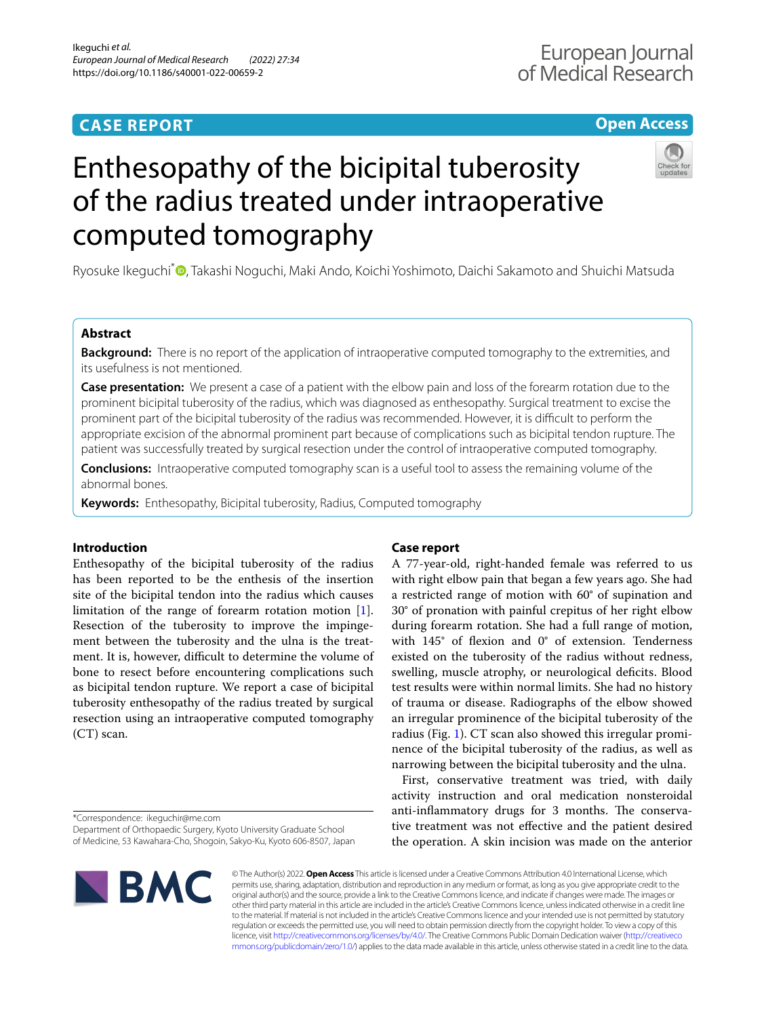# **CASE REPORT**

# **Open Access**



# Enthesopathy of the bicipital tuberosity of the radius treated under intraoperative computed tomography

Ryosuke Ikequchi<sup>[\\*](http://orcid.org/0000-0003-4525-7849)</sup><sup>®</sup>, Takashi Noquchi, Maki Ando, Koichi Yoshimoto, Daichi Sakamoto and Shuichi Matsuda

# **Abstract**

**Background:** There is no report of the application of intraoperative computed tomography to the extremities, and its usefulness is not mentioned.

**Case presentation:** We present a case of a patient with the elbow pain and loss of the forearm rotation due to the prominent bicipital tuberosity of the radius, which was diagnosed as enthesopathy. Surgical treatment to excise the prominent part of the bicipital tuberosity of the radius was recommended. However, it is difficult to perform the appropriate excision of the abnormal prominent part because of complications such as bicipital tendon rupture. The patient was successfully treated by surgical resection under the control of intraoperative computed tomography.

**Conclusions:** Intraoperative computed tomography scan is a useful tool to assess the remaining volume of the abnormal bones.

**Keywords:** Enthesopathy, Bicipital tuberosity, Radius, Computed tomography

### **Introduction**

Enthesopathy of the bicipital tuberosity of the radius has been reported to be the enthesis of the insertion site of the bicipital tendon into the radius which causes limitation of the range of forearm rotation motion [\[1](#page-2-0)]. Resection of the tuberosity to improve the impingement between the tuberosity and the ulna is the treatment. It is, however, difficult to determine the volume of bone to resect before encountering complications such as bicipital tendon rupture. We report a case of bicipital tuberosity enthesopathy of the radius treated by surgical resection using an intraoperative computed tomography (CT) scan.

\*Correspondence: ikeguchir@me.com

Department of Orthopaedic Surgery, Kyoto University Graduate School of Medicine, 53 Kawahara‑Cho, Shogoin, Sakyo‑Ku, Kyoto 606‑8507, Japan

# **BMC**

# **Case report**

A 77-year-old, right-handed female was referred to us with right elbow pain that began a few years ago. She had a restricted range of motion with 60° of supination and 30° of pronation with painful crepitus of her right elbow during forearm rotation. She had a full range of motion, with 145° of fexion and 0° of extension. Tenderness existed on the tuberosity of the radius without redness, swelling, muscle atrophy, or neurological deficits. Blood test results were within normal limits. She had no history of trauma or disease. Radiographs of the elbow showed an irregular prominence of the bicipital tuberosity of the radius (Fig. [1\)](#page-1-0). CT scan also showed this irregular prominence of the bicipital tuberosity of the radius, as well as narrowing between the bicipital tuberosity and the ulna.

First, conservative treatment was tried, with daily activity instruction and oral medication nonsteroidal anti-inflammatory drugs for 3 months. The conservative treatment was not efective and the patient desired the operation. A skin incision was made on the anterior

© The Author(s) 2022. **Open Access** This article is licensed under a Creative Commons Attribution 4.0 International License, which permits use, sharing, adaptation, distribution and reproduction in any medium or format, as long as you give appropriate credit to the original author(s) and the source, provide a link to the Creative Commons licence, and indicate if changes were made. The images or other third party material in this article are included in the article's Creative Commons licence, unless indicated otherwise in a credit line to the material. If material is not included in the article's Creative Commons licence and your intended use is not permitted by statutory regulation or exceeds the permitted use, you will need to obtain permission directly from the copyright holder. To view a copy of this licence, visit [http://creativecommons.org/licenses/by/4.0/.](http://creativecommons.org/licenses/by/4.0/) The Creative Commons Public Domain Dedication waiver ([http://creativeco](http://creativecommons.org/publicdomain/zero/1.0/) [mmons.org/publicdomain/zero/1.0/](http://creativecommons.org/publicdomain/zero/1.0/)) applies to the data made available in this article, unless otherwise stated in a credit line to the data.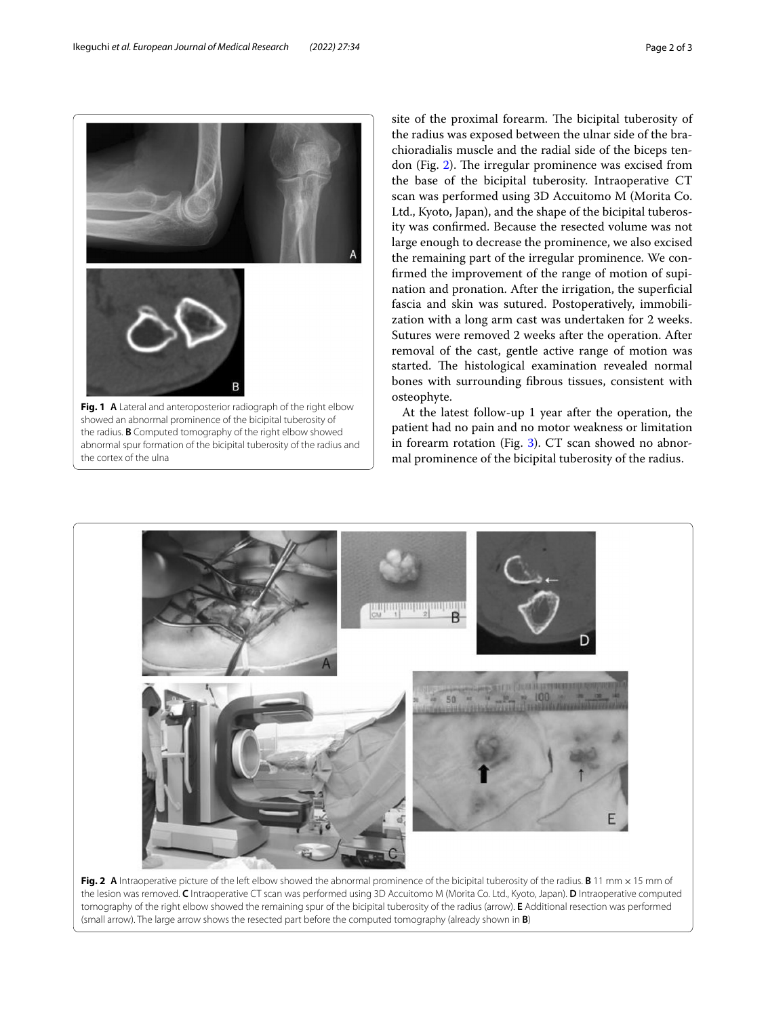

site of the proximal forearm. The bicipital tuberosity of the radius was exposed between the ulnar side of the brachioradialis muscle and the radial side of the biceps ten-don (Fig. [2\)](#page-1-1). The irregular prominence was excised from the base of the bicipital tuberosity. Intraoperative CT scan was performed using 3D Accuitomo M (Morita Co. Ltd., Kyoto, Japan), and the shape of the bicipital tuberosity was confrmed. Because the resected volume was not large enough to decrease the prominence, we also excised the remaining part of the irregular prominence. We confrmed the improvement of the range of motion of supination and pronation. After the irrigation, the superficial fascia and skin was sutured. Postoperatively, immobilization with a long arm cast was undertaken for 2 weeks. Sutures were removed 2 weeks after the operation. After removal of the cast, gentle active range of motion was started. The histological examination revealed normal bones with surrounding fbrous tissues, consistent with osteophyte.

At the latest follow-up 1 year after the operation, the patient had no pain and no motor weakness or limitation in forearm rotation (Fig. [3](#page-2-1)). CT scan showed no abnormal prominence of the bicipital tuberosity of the radius.

<span id="page-1-0"></span>

<span id="page-1-1"></span>